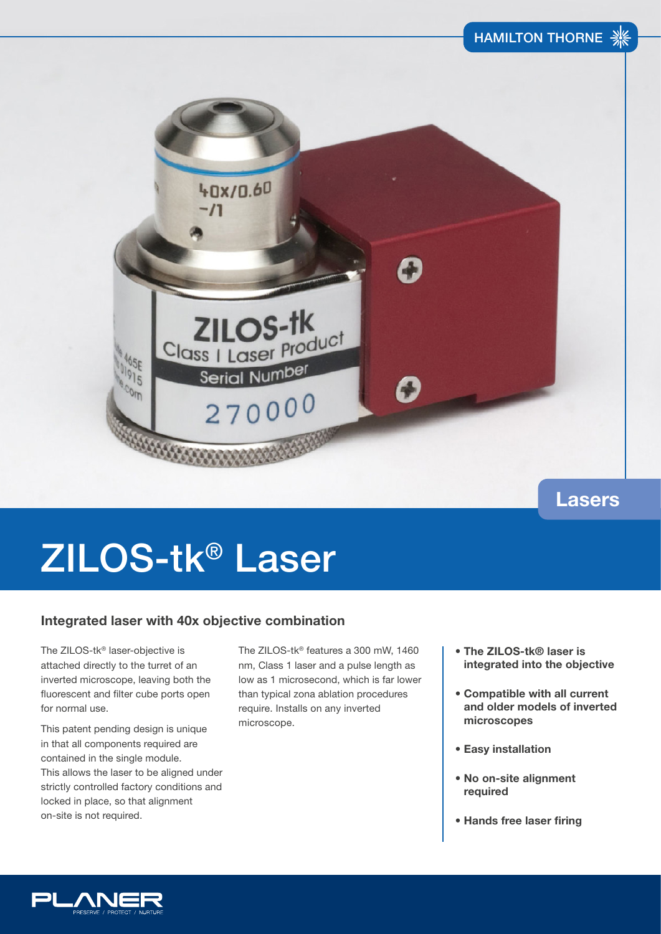

### **Lasers**

# ZILOS-tk® Laser

### **Integrated laser with 40x objective combination**

The ZILOS-tk® laser-objective is attached directly to the turret of an inverted microscope, leaving both the fluorescent and filter cube ports open for normal use.

This patent pending design is unique in that all components required are contained in the single module. This allows the laser to be aligned under strictly controlled factory conditions and locked in place, so that alignment on-site is not required.

The ZILOS-tk® features a 300 mW, 1460 nm, Class 1 laser and a pulse length as low as 1 microsecond, which is far lower than typical zona ablation procedures require. Installs on any inverted microscope.

- **The ZILOS-tk® laser is integrated into the objective**
- **Compatible with all current and older models of inverted microscopes**
- **Easy installation**
- **No on-site alignment required**
- **Hands free laser firing**